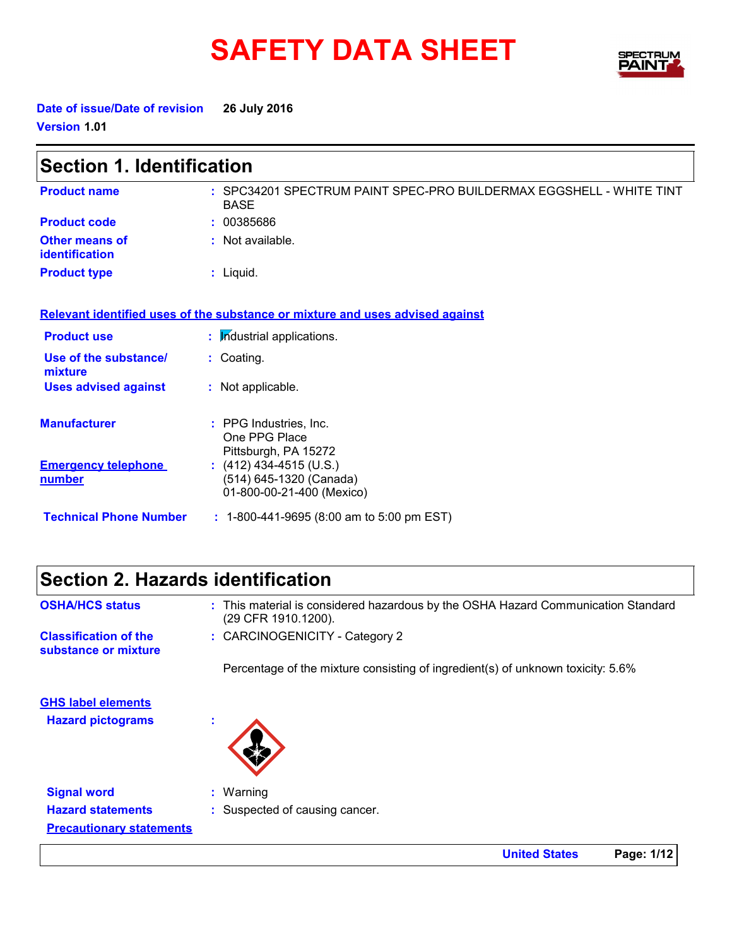# SAFETY DATA SHEET SPECTRY



**Date of issue/Date of revision 26 July 2016 Version 1.01**

| <b>Section 1. Identification</b>            |                                                                                    |  |
|---------------------------------------------|------------------------------------------------------------------------------------|--|
| <b>Product name</b>                         | : SPC34201 SPECTRUM PAINT SPEC-PRO BUILDERMAX EGGSHELL - WHITE TINT<br><b>BASE</b> |  |
| <b>Product code</b>                         | : 00385686                                                                         |  |
| <b>Other means of</b><br>identification     | : Not available.                                                                   |  |
| <b>Product type</b>                         | $:$ Liquid.                                                                        |  |
|                                             | Relevant identified uses of the substance or mixture and uses advised against      |  |
| <b>Product use</b>                          | : Industrial applications.                                                         |  |
| Use of the substance/<br>mixture            | : Coating.                                                                         |  |
| <b>Uses advised against</b>                 | : Not applicable.                                                                  |  |
| <b>Manufacturer</b>                         | : PPG Industries, Inc.<br>One PPG Place<br>Pittsburgh, PA 15272                    |  |
| <b>Emergency telephone</b><br><u>number</u> | $(412)$ 434-4515 (U.S.)<br>(514) 645-1320 (Canada)<br>01-800-00-21-400 (Mexico)    |  |
| <b>Technical Phone Number</b>               | $: 1-800-441-9695$ (8:00 am to 5:00 pm EST)                                        |  |

### **Section 2. Hazards identification**

| <b>OSHA/HCS status</b>                               | : This material is considered hazardous by the OSHA Hazard Communication Standard<br>(29 CFR 1910.1200). |
|------------------------------------------------------|----------------------------------------------------------------------------------------------------------|
| <b>Classification of the</b><br>substance or mixture | : CARCINOGENICITY - Category 2                                                                           |
|                                                      | Percentage of the mixture consisting of ingredient(s) of unknown toxicity: 5.6%                          |
| <b>GHS label elements</b>                            |                                                                                                          |
| <b>Hazard pictograms</b>                             | $\mathbf{r}$                                                                                             |
|                                                      |                                                                                                          |
| <b>Signal word</b>                                   | $:$ Warning                                                                                              |
| <b>Hazard statements</b>                             | : Suspected of causing cancer.                                                                           |
| <b>Precautionary statements</b>                      |                                                                                                          |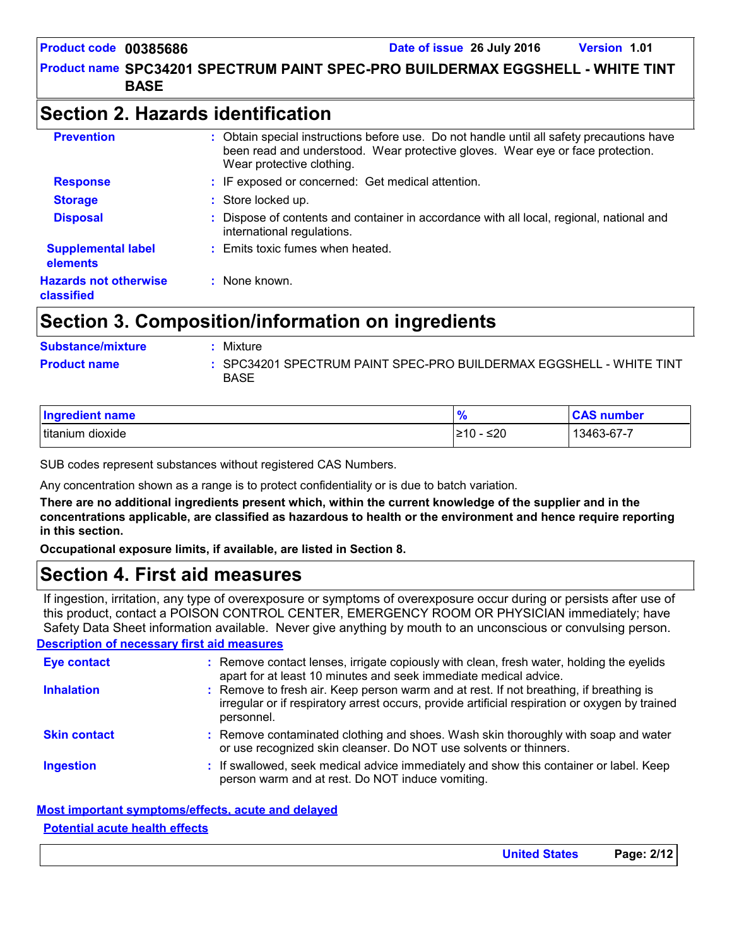### **Product name SPC34201 SPECTRUM PAINT SPEC-PRO BUILDERMAX EGGSHELL - WHITE TINT BASE**

### **Section 2. Hazards identification**

| <b>Prevention</b>                          | : Obtain special instructions before use. Do not handle until all safety precautions have<br>been read and understood. Wear protective gloves. Wear eye or face protection.<br>Wear protective clothing. |
|--------------------------------------------|----------------------------------------------------------------------------------------------------------------------------------------------------------------------------------------------------------|
| <b>Response</b>                            | : IF exposed or concerned: Get medical attention.                                                                                                                                                        |
| <b>Storage</b>                             | : Store locked up.                                                                                                                                                                                       |
| <b>Disposal</b>                            | Dispose of contents and container in accordance with all local, regional, national and<br>international regulations.                                                                                     |
| <b>Supplemental label</b><br>elements      | : Emits toxic fumes when heated.                                                                                                                                                                         |
| <b>Hazards not otherwise</b><br>classified | : None known.                                                                                                                                                                                            |

### **Section 3. Composition/information on ingredients**

| <b>Substance/mixture</b> | Mixture                                                                            |
|--------------------------|------------------------------------------------------------------------------------|
| <b>Product name</b>      | : SPC34201 SPECTRUM PAINT SPEC-PRO BUILDERMAX EGGSHELL - WHITE TINT<br><b>BASE</b> |

| Ingredient name     | 70               | <b>CAS number</b> |
|---------------------|------------------|-------------------|
| titanium<br>dioxide | ≤ $20$<br>.≥10 - | 13463-67-7        |

SUB codes represent substances without registered CAS Numbers.

Any concentration shown as a range is to protect confidentiality or is due to batch variation.

**There are no additional ingredients present which, within the current knowledge of the supplier and in the concentrations applicable, are classified as hazardous to health or the environment and hence require reporting in this section.**

**Occupational exposure limits, if available, are listed in Section 8.**

### **Section 4. First aid measures**

If ingestion, irritation, any type of overexposure or symptoms of overexposure occur during or persists after use of this product, contact a POISON CONTROL CENTER, EMERGENCY ROOM OR PHYSICIAN immediately; have Safety Data Sheet information available. Never give anything by mouth to an unconscious or convulsing person.

#### **Description of necessary first aid measures**

| <b>Eye contact</b>  | : Remove contact lenses, irrigate copiously with clean, fresh water, holding the eyelids<br>apart for at least 10 minutes and seek immediate medical advice.                                           |
|---------------------|--------------------------------------------------------------------------------------------------------------------------------------------------------------------------------------------------------|
| <b>Inhalation</b>   | : Remove to fresh air. Keep person warm and at rest. If not breathing, if breathing is<br>irregular or if respiratory arrest occurs, provide artificial respiration or oxygen by trained<br>personnel. |
| <b>Skin contact</b> | : Remove contaminated clothing and shoes. Wash skin thoroughly with soap and water<br>or use recognized skin cleanser. Do NOT use solvents or thinners.                                                |
| <b>Ingestion</b>    | : If swallowed, seek medical advice immediately and show this container or label. Keep<br>person warm and at rest. Do NOT induce vomiting.                                                             |

#### **Most important symptoms/effects, acute and delayed Potential acute health effects**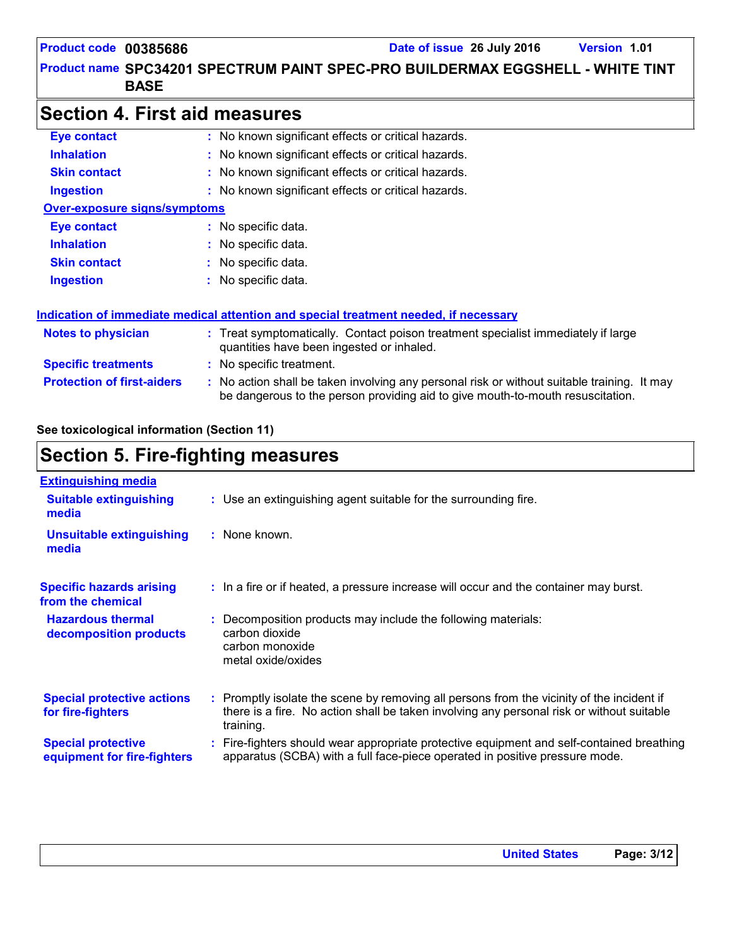### **Product name SPC34201 SPECTRUM PAINT SPEC-PRO BUILDERMAX EGGSHELL - WHITE TINT BASE**

### **Section 4. First aid measures**

| <b>Eye contact</b>                  | : No known significant effects or critical hazards.                                                                                                                           |  |
|-------------------------------------|-------------------------------------------------------------------------------------------------------------------------------------------------------------------------------|--|
| <b>Inhalation</b>                   | : No known significant effects or critical hazards.                                                                                                                           |  |
| <b>Skin contact</b>                 | : No known significant effects or critical hazards.                                                                                                                           |  |
| <b>Ingestion</b>                    | : No known significant effects or critical hazards.                                                                                                                           |  |
| <b>Over-exposure signs/symptoms</b> |                                                                                                                                                                               |  |
| Eye contact                         | : No specific data.                                                                                                                                                           |  |
| <b>Inhalation</b>                   | : No specific data.                                                                                                                                                           |  |
| <b>Skin contact</b>                 | : No specific data.                                                                                                                                                           |  |
| <b>Ingestion</b>                    | : No specific data.                                                                                                                                                           |  |
|                                     | <u>Indication of immediate medical attention and special treatment needed, if necessary</u>                                                                                   |  |
| <b>Notes to physician</b>           | : Treat symptomatically. Contact poison treatment specialist immediately if large<br>quantities have been ingested or inhaled.                                                |  |
| <b>Specific treatments</b>          | : No specific treatment.                                                                                                                                                      |  |
| <b>Protection of first-aiders</b>   | : No action shall be taken involving any personal risk or without suitable training. It may<br>be dangerous to the person providing aid to give mouth-to-mouth resuscitation. |  |

#### **See toxicological information (Section 11)**

### **Section 5. Fire-fighting measures**

| <b>Extinguishing media</b>                               |                                                                                                                                                                                                     |
|----------------------------------------------------------|-----------------------------------------------------------------------------------------------------------------------------------------------------------------------------------------------------|
| <b>Suitable extinguishing</b><br>media                   | : Use an extinguishing agent suitable for the surrounding fire.                                                                                                                                     |
| <b>Unsuitable extinguishing</b><br>media                 | : None known.                                                                                                                                                                                       |
| <b>Specific hazards arising</b><br>from the chemical     | : In a fire or if heated, a pressure increase will occur and the container may burst.                                                                                                               |
| <b>Hazardous thermal</b><br>decomposition products       | Decomposition products may include the following materials:<br>carbon dioxide<br>carbon monoxide<br>metal oxide/oxides                                                                              |
| <b>Special protective actions</b><br>for fire-fighters   | : Promptly isolate the scene by removing all persons from the vicinity of the incident if<br>there is a fire. No action shall be taken involving any personal risk or without suitable<br>training. |
| <b>Special protective</b><br>equipment for fire-fighters | : Fire-fighters should wear appropriate protective equipment and self-contained breathing<br>apparatus (SCBA) with a full face-piece operated in positive pressure mode.                            |
|                                                          |                                                                                                                                                                                                     |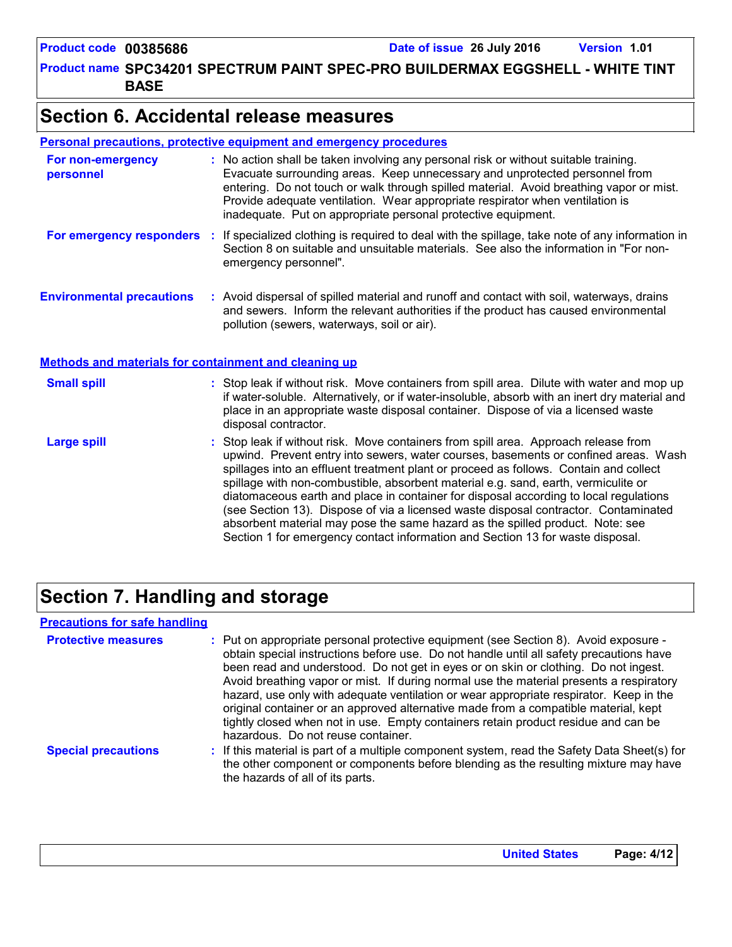**Product name SPC34201 SPECTRUM PAINT SPEC-PRO BUILDERMAX EGGSHELL - WHITE TINT BASE**

### **Section 6. Accidental release measures**

#### **Personal precautions, protective equipment and emergency procedures**

| For non-emergency<br>personnel                               | : No action shall be taken involving any personal risk or without suitable training.<br>Evacuate surrounding areas. Keep unnecessary and unprotected personnel from<br>entering. Do not touch or walk through spilled material. Avoid breathing vapor or mist.<br>Provide adequate ventilation. Wear appropriate respirator when ventilation is<br>inadequate. Put on appropriate personal protective equipment.                                                                                                                                                                                                                                                                                             |
|--------------------------------------------------------------|--------------------------------------------------------------------------------------------------------------------------------------------------------------------------------------------------------------------------------------------------------------------------------------------------------------------------------------------------------------------------------------------------------------------------------------------------------------------------------------------------------------------------------------------------------------------------------------------------------------------------------------------------------------------------------------------------------------|
| For emergency responders                                     | : If specialized clothing is required to deal with the spillage, take note of any information in<br>Section 8 on suitable and unsuitable materials. See also the information in "For non-<br>emergency personnel".                                                                                                                                                                                                                                                                                                                                                                                                                                                                                           |
| <b>Environmental precautions</b>                             | : Avoid dispersal of spilled material and runoff and contact with soil, waterways, drains<br>and sewers. Inform the relevant authorities if the product has caused environmental<br>pollution (sewers, waterways, soil or air).                                                                                                                                                                                                                                                                                                                                                                                                                                                                              |
| <b>Methods and materials for containment and cleaning up</b> |                                                                                                                                                                                                                                                                                                                                                                                                                                                                                                                                                                                                                                                                                                              |
| <b>Small spill</b>                                           | : Stop leak if without risk. Move containers from spill area. Dilute with water and mop up<br>if water-soluble. Alternatively, or if water-insoluble, absorb with an inert dry material and<br>place in an appropriate waste disposal container. Dispose of via a licensed waste<br>disposal contractor.                                                                                                                                                                                                                                                                                                                                                                                                     |
| <b>Large spill</b>                                           | : Stop leak if without risk. Move containers from spill area. Approach release from<br>upwind. Prevent entry into sewers, water courses, basements or confined areas. Wash<br>spillages into an effluent treatment plant or proceed as follows. Contain and collect<br>spillage with non-combustible, absorbent material e.g. sand, earth, vermiculite or<br>diatomaceous earth and place in container for disposal according to local regulations<br>(see Section 13). Dispose of via a licensed waste disposal contractor. Contaminated<br>absorbent material may pose the same hazard as the spilled product. Note: see<br>Section 1 for emergency contact information and Section 13 for waste disposal. |

## **Section 7. Handling and storage**

#### **Precautions for safe handling**

| <b>Protective measures</b> | : Put on appropriate personal protective equipment (see Section 8). Avoid exposure -<br>obtain special instructions before use. Do not handle until all safety precautions have<br>been read and understood. Do not get in eyes or on skin or clothing. Do not ingest.<br>Avoid breathing vapor or mist. If during normal use the material presents a respiratory<br>hazard, use only with adequate ventilation or wear appropriate respirator. Keep in the<br>original container or an approved alternative made from a compatible material, kept<br>tightly closed when not in use. Empty containers retain product residue and can be<br>hazardous. Do not reuse container. |
|----------------------------|--------------------------------------------------------------------------------------------------------------------------------------------------------------------------------------------------------------------------------------------------------------------------------------------------------------------------------------------------------------------------------------------------------------------------------------------------------------------------------------------------------------------------------------------------------------------------------------------------------------------------------------------------------------------------------|
| <b>Special precautions</b> | : If this material is part of a multiple component system, read the Safety Data Sheet(s) for<br>the other component or components before blending as the resulting mixture may have<br>the hazards of all of its parts.                                                                                                                                                                                                                                                                                                                                                                                                                                                        |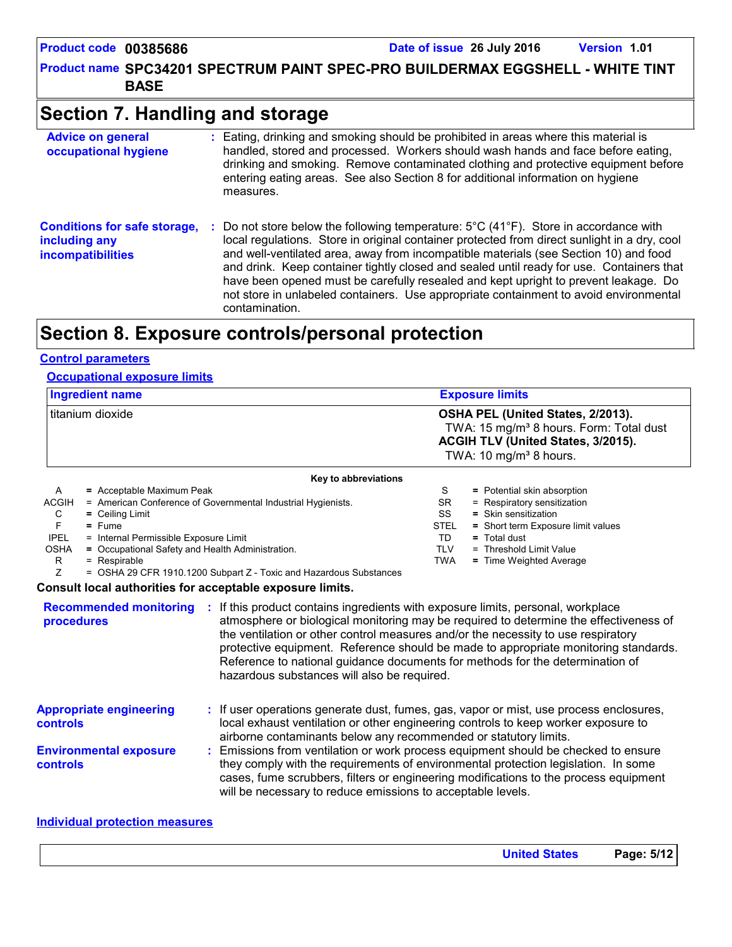**Product name SPC34201 SPECTRUM PAINT SPEC-PRO BUILDERMAX EGGSHELL - WHITE TINT BASE**

### **Section 7. Handling and storage**

| <b>Advice on general</b><br>occupational hygiene                                 | : Eating, drinking and smoking should be prohibited in areas where this material is<br>handled, stored and processed. Workers should wash hands and face before eating,<br>drinking and smoking. Remove contaminated clothing and protective equipment before<br>entering eating areas. See also Section 8 for additional information on hygiene<br>measures.                                                                                                                                                                                                                                         |
|----------------------------------------------------------------------------------|-------------------------------------------------------------------------------------------------------------------------------------------------------------------------------------------------------------------------------------------------------------------------------------------------------------------------------------------------------------------------------------------------------------------------------------------------------------------------------------------------------------------------------------------------------------------------------------------------------|
| <b>Conditions for safe storage,</b><br>including any<br><b>incompatibilities</b> | Do not store below the following temperature: $5^{\circ}$ C (41 <sup>o</sup> F). Store in accordance with<br>÷.<br>local regulations. Store in original container protected from direct sunlight in a dry, cool<br>and well-ventilated area, away from incompatible materials (see Section 10) and food<br>and drink. Keep container tightly closed and sealed until ready for use. Containers that<br>have been opened must be carefully resealed and kept upright to prevent leakage. Do<br>not store in unlabeled containers. Use appropriate containment to avoid environmental<br>contamination. |

### **Section 8. Exposure controls/personal protection**

#### **Control parameters**

#### **Occupational exposure limits**

| <b>Ingredient name</b> | <b>Exposure limits</b>                                                                                                                                               |  |
|------------------------|----------------------------------------------------------------------------------------------------------------------------------------------------------------------|--|
| I titanium dioxide     | OSHA PEL (United States, 2/2013).<br>TWA: 15 mg/m <sup>3</sup> 8 hours. Form: Total dust<br>ACGIH TLV (United States, 3/2015).<br>TWA: 10 mg/m <sup>3</sup> 8 hours. |  |
| Key to abbreviations   |                                                                                                                                                                      |  |

|              | <b>Ney to appreviations</b>                                                                                                                                                                                                     |            |                                    |
|--------------|---------------------------------------------------------------------------------------------------------------------------------------------------------------------------------------------------------------------------------|------------|------------------------------------|
| A            | = Acceptable Maximum Peak                                                                                                                                                                                                       | S          | = Potential skin absorption        |
| <b>ACGIH</b> | = American Conference of Governmental Industrial Hygienists.                                                                                                                                                                    | SR.        | = Respiratory sensitization        |
| C            | $=$ Ceiling Limit                                                                                                                                                                                                               | SS         | $=$ Skin sensitization             |
|              | $=$ Fume                                                                                                                                                                                                                        | STEL       | = Short term Exposure limit values |
| <b>IPEL</b>  | = Internal Permissible Exposure Limit                                                                                                                                                                                           | TD         | $=$ Total dust                     |
| <b>OSHA</b>  | = Occupational Safety and Health Administration.                                                                                                                                                                                | <b>TLV</b> | = Threshold Limit Value            |
| R            | $=$ Respirable                                                                                                                                                                                                                  | TWA        | = Time Weighted Average            |
|              | = OSHA 29 CFR 1910.1200 Subpart Z - Toxic and Hazardous Substances                                                                                                                                                              |            |                                    |
|              | $\sim$ . The contract of the contract of the contract of the contract of the contract of the contract of the contract of the contract of the contract of the contract of the contract of the contract of the contract of the co |            |                                    |

#### **Consult local authorities for acceptable exposure limits.**

| <b>Recommended monitoring</b><br>procedures       | If this product contains ingredients with exposure limits, personal, workplace<br>atmosphere or biological monitoring may be required to determine the effectiveness of<br>the ventilation or other control measures and/or the necessity to use respiratory<br>protective equipment. Reference should be made to appropriate monitoring standards.<br>Reference to national guidance documents for methods for the determination of<br>hazardous substances will also be required. |
|---------------------------------------------------|-------------------------------------------------------------------------------------------------------------------------------------------------------------------------------------------------------------------------------------------------------------------------------------------------------------------------------------------------------------------------------------------------------------------------------------------------------------------------------------|
| <b>Appropriate engineering</b><br><b>controls</b> | : If user operations generate dust, fumes, gas, vapor or mist, use process enclosures,<br>local exhaust ventilation or other engineering controls to keep worker exposure to<br>airborne contaminants below any recommended or statutory limits.                                                                                                                                                                                                                                    |
| <b>Environmental exposure</b><br><b>controls</b>  | Emissions from ventilation or work process equipment should be checked to ensure<br>they comply with the requirements of environmental protection legislation. In some<br>cases, fume scrubbers, filters or engineering modifications to the process equipment<br>will be necessary to reduce emissions to acceptable levels.                                                                                                                                                       |

#### **Individual protection measures**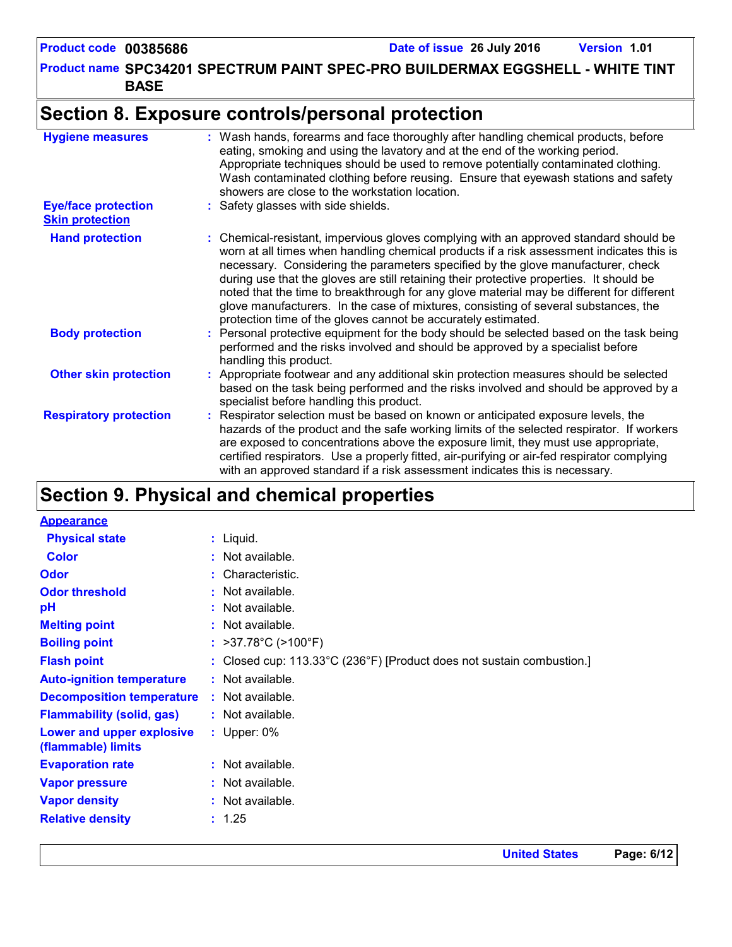**Product name SPC34201 SPECTRUM PAINT SPEC-PRO BUILDERMAX EGGSHELL - WHITE TINT BASE**

### **Section 8. Exposure controls/personal protection**

| <b>Hygiene measures</b>                              | : Wash hands, forearms and face thoroughly after handling chemical products, before<br>eating, smoking and using the lavatory and at the end of the working period.<br>Appropriate techniques should be used to remove potentially contaminated clothing.<br>Wash contaminated clothing before reusing. Ensure that eyewash stations and safety<br>showers are close to the workstation location.                                                                                                                                                                                                                      |
|------------------------------------------------------|------------------------------------------------------------------------------------------------------------------------------------------------------------------------------------------------------------------------------------------------------------------------------------------------------------------------------------------------------------------------------------------------------------------------------------------------------------------------------------------------------------------------------------------------------------------------------------------------------------------------|
| <b>Eye/face protection</b><br><b>Skin protection</b> | : Safety glasses with side shields.                                                                                                                                                                                                                                                                                                                                                                                                                                                                                                                                                                                    |
| <b>Hand protection</b>                               | : Chemical-resistant, impervious gloves complying with an approved standard should be<br>worn at all times when handling chemical products if a risk assessment indicates this is<br>necessary. Considering the parameters specified by the glove manufacturer, check<br>during use that the gloves are still retaining their protective properties. It should be<br>noted that the time to breakthrough for any glove material may be different for different<br>glove manufacturers. In the case of mixtures, consisting of several substances, the<br>protection time of the gloves cannot be accurately estimated. |
| <b>Body protection</b>                               | : Personal protective equipment for the body should be selected based on the task being<br>performed and the risks involved and should be approved by a specialist before<br>handling this product.                                                                                                                                                                                                                                                                                                                                                                                                                    |
| <b>Other skin protection</b>                         | : Appropriate footwear and any additional skin protection measures should be selected<br>based on the task being performed and the risks involved and should be approved by a<br>specialist before handling this product.                                                                                                                                                                                                                                                                                                                                                                                              |
| <b>Respiratory protection</b>                        | : Respirator selection must be based on known or anticipated exposure levels, the<br>hazards of the product and the safe working limits of the selected respirator. If workers<br>are exposed to concentrations above the exposure limit, they must use appropriate,<br>certified respirators. Use a properly fitted, air-purifying or air-fed respirator complying<br>with an approved standard if a risk assessment indicates this is necessary.                                                                                                                                                                     |

## **Section 9. Physical and chemical properties**

| <b>Appearance</b>                               |                                                                       |
|-------------------------------------------------|-----------------------------------------------------------------------|
| <b>Physical state</b>                           | $:$ Liquid.                                                           |
| <b>Color</b>                                    | $:$ Not available.                                                    |
| <b>Odor</b>                                     | : Characteristic.                                                     |
| <b>Odor threshold</b>                           | $:$ Not available.                                                    |
| pH                                              | : Not available.                                                      |
| <b>Melting point</b>                            | $:$ Not available.                                                    |
| <b>Boiling point</b>                            | : $>37.78^{\circ}$ C ( $>100^{\circ}$ F)                              |
| <b>Flash point</b>                              | : Closed cup: 113.33°C (236°F) [Product does not sustain combustion.] |
| <b>Auto-ignition temperature</b>                | $:$ Not available.                                                    |
| <b>Decomposition temperature</b>                | : Not available.                                                      |
| <b>Flammability (solid, gas)</b>                | : Not available.                                                      |
| Lower and upper explosive<br>(flammable) limits | : Upper: $0\%$                                                        |
| <b>Evaporation rate</b>                         | $:$ Not available.                                                    |
| <b>Vapor pressure</b>                           | : Not available.                                                      |
| <b>Vapor density</b>                            | : Not available.                                                      |
| <b>Relative density</b>                         | : 1.25                                                                |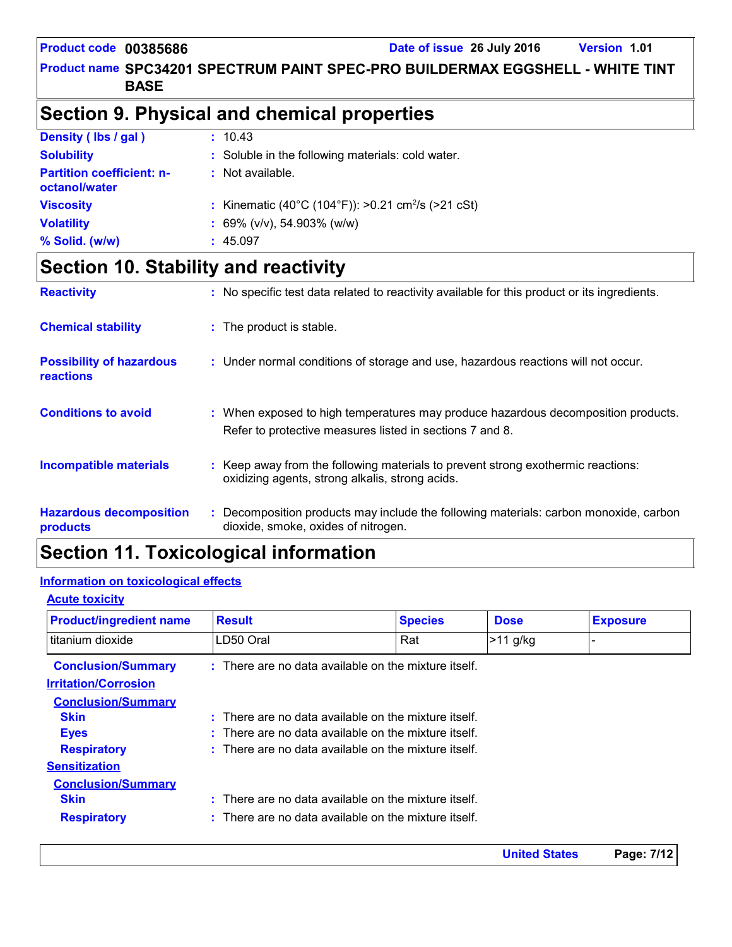**Product name SPC34201 SPECTRUM PAINT SPEC-PRO BUILDERMAX EGGSHELL - WHITE TINT BASE**

## **Section 9. Physical and chemical properties**

| Density (lbs / gal)                               | : 10.43                                                        |
|---------------------------------------------------|----------------------------------------------------------------|
| <b>Solubility</b>                                 | : Soluble in the following materials: cold water.              |
| <b>Partition coefficient: n-</b><br>octanol/water | Not available.                                                 |
| <b>Viscosity</b>                                  | : Kinematic (40°C (104°F)): >0.21 cm <sup>2</sup> /s (>21 cSt) |
| <b>Volatility</b>                                 | : 69% ( $v/v$ ), 54.903% ( $w/w$ )                             |
| % Solid. (w/w)                                    | 45.097                                                         |

### **Section 10. Stability and reactivity**

| <b>Reactivity</b>                                   | : No specific test data related to reactivity available for this product or its ingredients.                                                  |
|-----------------------------------------------------|-----------------------------------------------------------------------------------------------------------------------------------------------|
| <b>Chemical stability</b>                           | : The product is stable.                                                                                                                      |
| <b>Possibility of hazardous</b><br><b>reactions</b> | : Under normal conditions of storage and use, hazardous reactions will not occur.                                                             |
| <b>Conditions to avoid</b>                          | : When exposed to high temperatures may produce hazardous decomposition products.<br>Refer to protective measures listed in sections 7 and 8. |
| <b>Incompatible materials</b>                       | : Keep away from the following materials to prevent strong exothermic reactions:<br>oxidizing agents, strong alkalis, strong acids.           |
| <b>Hazardous decomposition</b><br>products          | : Decomposition products may include the following materials: carbon monoxide, carbon<br>dioxide, smoke, oxides of nitrogen.                  |

### **Section 11. Toxicological information**

#### **Information on toxicological effects**

| <b>Acute toxicity</b> |  |  |  |
|-----------------------|--|--|--|
|-----------------------|--|--|--|

| <b>Product/ingredient name</b>                           | <b>Result</b>                                                                                                      | <b>Species</b>    | <b>Dose</b> | <b>Exposure</b> |
|----------------------------------------------------------|--------------------------------------------------------------------------------------------------------------------|-------------------|-------------|-----------------|
| I titanium dioxide                                       | LD50 Oral                                                                                                          | Rat<br>$>11$ g/kg |             |                 |
| <b>Conclusion/Summary</b><br><b>Irritation/Corrosion</b> | $\therefore$ There are no data available on the mixture itself.                                                    |                   |             |                 |
| <b>Conclusion/Summary</b>                                |                                                                                                                    |                   |             |                 |
| <b>Skin</b><br><b>Eyes</b>                               | $\pm$ There are no data available on the mixture itself.<br>$:$ There are no data available on the mixture itself. |                   |             |                 |
| <b>Respiratory</b><br><b>Sensitization</b>               | $\therefore$ There are no data available on the mixture itself.                                                    |                   |             |                 |
| <b>Conclusion/Summary</b><br><b>Skin</b>                 | $\therefore$ There are no data available on the mixture itself.                                                    |                   |             |                 |
| <b>Respiratory</b>                                       | $\therefore$ There are no data available on the mixture itself.                                                    |                   |             |                 |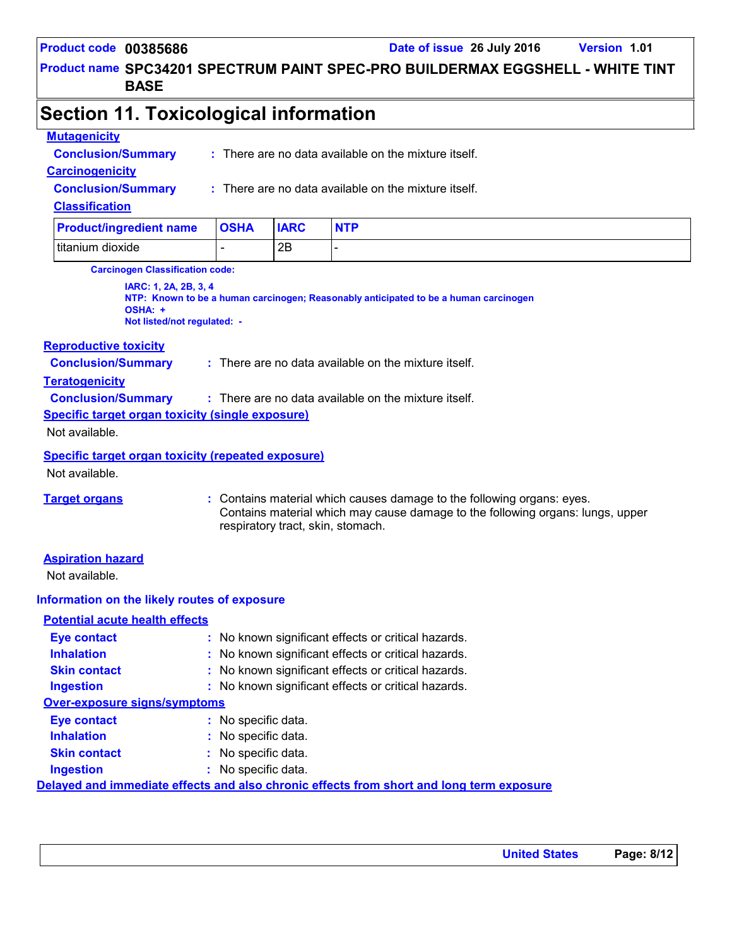**Product name SPC34201 SPECTRUM PAINT SPEC-PRO BUILDERMAX EGGSHELL - WHITE TINT BASE**

### **Section 11. Toxicological information**

#### **Mutagenicity**

**Conclusion/Summary :** There are no data available on the mixture itself.

#### **Carcinogenicity**

**Conclusion/Summary :**

There are no data available on the mixture itself.

#### **Classification**

| <b>Product/ingredient name OSHA</b> | <b>IARC</b> | <b>NTP</b> |
|-------------------------------------|-------------|------------|
| titanium dioxide                    | 2Β          |            |

**Carcinogen Classification code:**

**IARC: 1, 2A, 2B, 3, 4 NTP: Known to be a human carcinogen; Reasonably anticipated to be a human carcinogen OSHA: + Not listed/not regulated: -**

#### **Reproductive toxicity**

**Conclusion/Summary :** There are no data available on the mixture itself.

#### **Teratogenicity**

**Conclusion/Summary :** There are no data available on the mixture itself.

**Specific target organ toxicity (single exposure)**

Not available.

#### **Specific target organ toxicity (repeated exposure)**

Not available.

**Target organs :** Contains material which causes damage to the following organs: eyes. Contains material which may cause damage to the following organs: lungs, upper respiratory tract, skin, stomach.

#### **Aspiration hazard**

Not available.

#### **Information on the likely routes of exposure**

| <b>Potential acute health effects</b> |                                                                                          |
|---------------------------------------|------------------------------------------------------------------------------------------|
| <b>Eye contact</b>                    | : No known significant effects or critical hazards.                                      |
| <b>Inhalation</b>                     | : No known significant effects or critical hazards.                                      |
| <b>Skin contact</b>                   | : No known significant effects or critical hazards.                                      |
| <b>Ingestion</b>                      | : No known significant effects or critical hazards.                                      |
| <b>Over-exposure signs/symptoms</b>   |                                                                                          |
| <b>Eye contact</b>                    | : No specific data.                                                                      |
| <b>Inhalation</b>                     | : No specific data.                                                                      |
| <b>Skin contact</b>                   | : No specific data.                                                                      |
| <b>Ingestion</b>                      | : No specific data.                                                                      |
|                                       | Delayed and immediate effects and also chronic effects from short and long term exposure |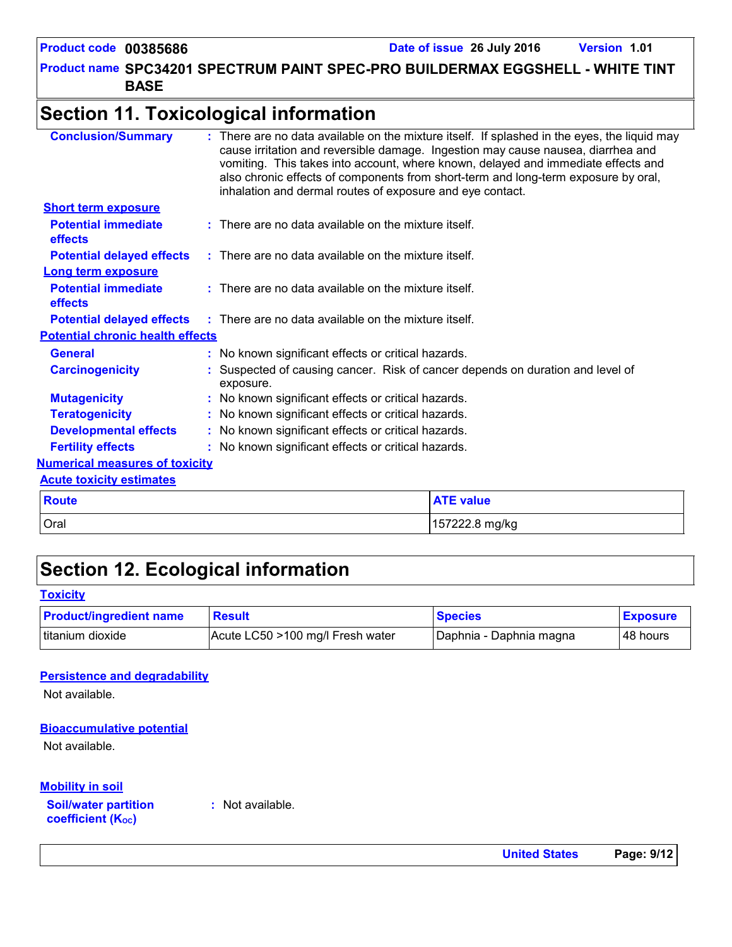**Product name SPC34201 SPECTRUM PAINT SPEC-PRO BUILDERMAX EGGSHELL - WHITE TINT BASE**

### **Section 11. Toxicological information**

| <b>Conclusion/Summary</b>                    | inhalation and dermal routes of exposure and eye contact.                                   | : There are no data available on the mixture itself. If splashed in the eyes, the liquid may<br>cause irritation and reversible damage. Ingestion may cause nausea, diarrhea and<br>vomiting. This takes into account, where known, delayed and immediate effects and<br>also chronic effects of components from short-term and long-term exposure by oral, |
|----------------------------------------------|---------------------------------------------------------------------------------------------|-------------------------------------------------------------------------------------------------------------------------------------------------------------------------------------------------------------------------------------------------------------------------------------------------------------------------------------------------------------|
| <b>Short term exposure</b>                   |                                                                                             |                                                                                                                                                                                                                                                                                                                                                             |
| <b>Potential immediate</b><br><b>effects</b> | $:$ There are no data available on the mixture itself.                                      |                                                                                                                                                                                                                                                                                                                                                             |
| <b>Potential delayed effects</b>             | $\therefore$ There are no data available on the mixture itself.                             |                                                                                                                                                                                                                                                                                                                                                             |
| <b>Long term exposure</b>                    |                                                                                             |                                                                                                                                                                                                                                                                                                                                                             |
| <b>Potential immediate</b><br>effects        | $:$ There are no data available on the mixture itself.                                      |                                                                                                                                                                                                                                                                                                                                                             |
|                                              | <b>Potential delayed effects</b> : There are no data available on the mixture itself.       |                                                                                                                                                                                                                                                                                                                                                             |
| <b>Potential chronic health effects</b>      |                                                                                             |                                                                                                                                                                                                                                                                                                                                                             |
| <b>General</b>                               | : No known significant effects or critical hazards.                                         |                                                                                                                                                                                                                                                                                                                                                             |
| <b>Carcinogenicity</b>                       | : Suspected of causing cancer. Risk of cancer depends on duration and level of<br>exposure. |                                                                                                                                                                                                                                                                                                                                                             |
| <b>Mutagenicity</b>                          | : No known significant effects or critical hazards.                                         |                                                                                                                                                                                                                                                                                                                                                             |
| <b>Teratogenicity</b>                        | : No known significant effects or critical hazards.                                         |                                                                                                                                                                                                                                                                                                                                                             |
| <b>Developmental effects</b>                 | : No known significant effects or critical hazards.                                         |                                                                                                                                                                                                                                                                                                                                                             |
| <b>Fertility effects</b>                     | : No known significant effects or critical hazards.                                         |                                                                                                                                                                                                                                                                                                                                                             |
| <b>Numerical measures of toxicity</b>        |                                                                                             |                                                                                                                                                                                                                                                                                                                                                             |
| <b>Acute toxicity estimates</b>              |                                                                                             |                                                                                                                                                                                                                                                                                                                                                             |
| <b>Route</b>                                 |                                                                                             | <b>ATE value</b>                                                                                                                                                                                                                                                                                                                                            |
| Oral                                         |                                                                                             | 157222.8 mg/kg                                                                                                                                                                                                                                                                                                                                              |
|                                              |                                                                                             |                                                                                                                                                                                                                                                                                                                                                             |

### **Section 12. Ecological information**

#### **Toxicity**

| <b>Product/ingredient name</b> | <b>Result</b>                    | <b>Species</b>          | <b>Exposure</b> |
|--------------------------------|----------------------------------|-------------------------|-----------------|
| titanium dioxide               | Acute LC50 >100 mg/l Fresh water | Daphnia - Daphnia magna | 48 hours        |

#### **Persistence and degradability**

Not available.

#### **Bioaccumulative potential**

Not available.

#### **Mobility in soil**

**Soil/water partition coefficient (KOC)**

**:** Not available.

**United States Page: 9/12**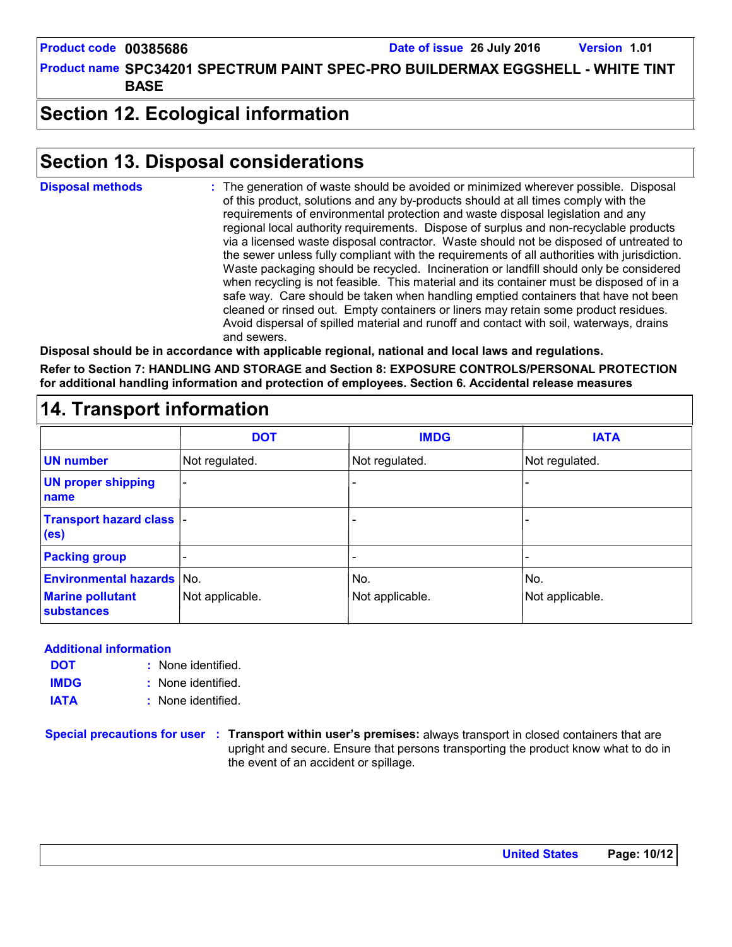**Product name SPC34201 SPECTRUM PAINT SPEC-PRO BUILDERMAX EGGSHELL - WHITE TINT BASE**

### **Section 12. Ecological information**

### **Section 13. Disposal considerations**

The generation of waste should be avoided or minimized wherever possible. Disposal of this product, solutions and any by-products should at all times comply with the requirements of environmental protection and waste disposal legislation and any regional local authority requirements. Dispose of surplus and non-recyclable products via a licensed waste disposal contractor. Waste should not be disposed of untreated to the sewer unless fully compliant with the requirements of all authorities with jurisdiction. Waste packaging should be recycled. Incineration or landfill should only be considered when recycling is not feasible. This material and its container must be disposed of in a safe way. Care should be taken when handling emptied containers that have not been cleaned or rinsed out. Empty containers or liners may retain some product residues. Avoid dispersal of spilled material and runoff and contact with soil, waterways, drains and sewers. **Disposal methods :**

**Disposal should be in accordance with applicable regional, national and local laws and regulations. Refer to Section 7: HANDLING AND STORAGE and Section 8: EXPOSURE CONTROLS/PERSONAL PROTECTION for additional handling information and protection of employees. Section 6. Accidental release measures**

#### - - - - - - Not regulated. - - Not regulated. Not regulated. **DOT IMDG IATA UN number UN proper shipping name Transport hazard class (es) Packing group Environmental hazards** No. No. No. No. No. No. No. **Marine pollutant substances** Not applicable.  $\vert$  Not applicable.  $\vert$  Not applicable.  $\vert$  Not applicable.

### **14. Transport information**

#### **Additional information**

- None identified. **:** None identified. **: DOT IMDG**
- **IATA :** None identified.

**Special precautions for user Transport within user's premises:** always transport in closed containers that are **:** upright and secure. Ensure that persons transporting the product know what to do in the event of an accident or spillage.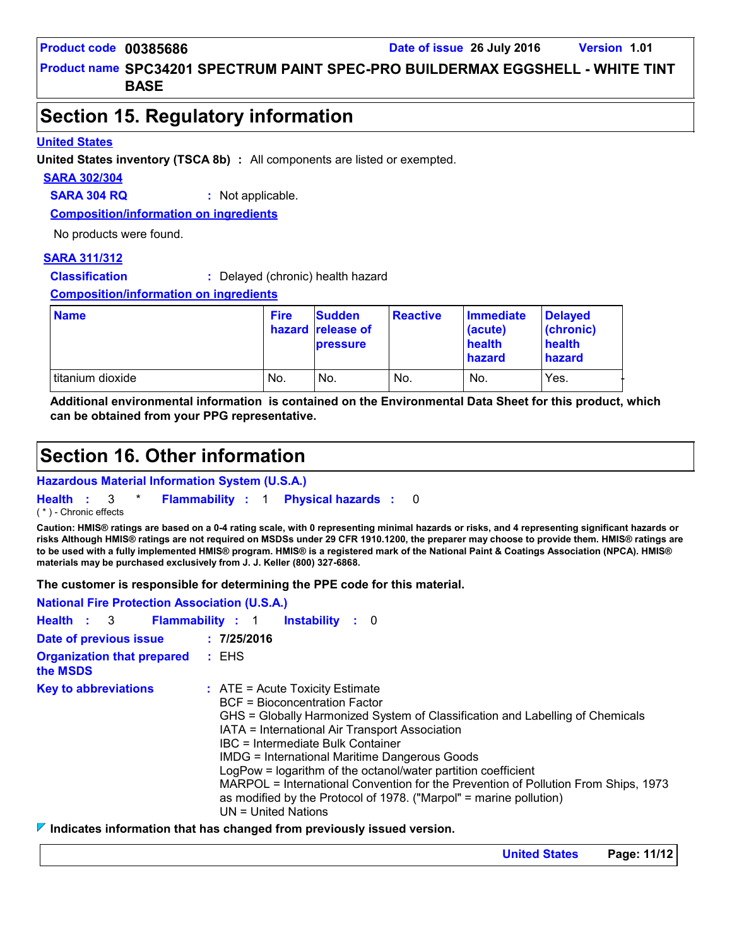**Product name SPC34201 SPECTRUM PAINT SPEC-PRO BUILDERMAX EGGSHELL - WHITE TINT BASE**

### **Section 15. Regulatory information**

#### **United States**

**United States inventory (TSCA 8b) :** All components are listed or exempted.

#### **SARA 302/304**

**SARA 304 RQ :** Not applicable.

**Composition/information on ingredients**

No products were found.

#### **SARA 311/312**

**Classification :** Delayed (chronic) health hazard

**Composition/information on ingredients**

| <b>Name</b>      | <b>Fire</b> | <b>Sudden</b><br>hazard release of<br><b>pressure</b> | <b>Reactive</b> | Immediate<br>(acute)<br>health<br>hazard | <b>Delaved</b><br>(chronic)<br>health<br>hazard |
|------------------|-------------|-------------------------------------------------------|-----------------|------------------------------------------|-------------------------------------------------|
| titanium dioxide | No.         | No.                                                   | No.             | No.                                      | Yes.                                            |

**Additional environmental information is contained on the Environmental Data Sheet for this product, which can be obtained from your PPG representative.**

### **Section 16. Other information**

**Hazardous Material Information System (U.S.A.)**

**Health** : 3 \* **Flammability** : 1 **Physical hazards** : 0 0

( \* ) - Chronic effects

**Caution: HMIS® ratings are based on a 0-4 rating scale, with 0 representing minimal hazards or risks, and 4 representing significant hazards or risks Although HMIS® ratings are not required on MSDSs under 29 CFR 1910.1200, the preparer may choose to provide them. HMIS® ratings are to be used with a fully implemented HMIS® program. HMIS® is a registered mark of the National Paint & Coatings Association (NPCA). HMIS® materials may be purchased exclusively from J. J. Keller (800) 327-6868.**

**The customer is responsible for determining the PPE code for this material.**

| <b>National Fire Protection Association (U.S.A.)</b> |                                                                                                                                                                                                                                                                                                                                                                                                                                                                                                                                                          |
|------------------------------------------------------|----------------------------------------------------------------------------------------------------------------------------------------------------------------------------------------------------------------------------------------------------------------------------------------------------------------------------------------------------------------------------------------------------------------------------------------------------------------------------------------------------------------------------------------------------------|
| Health : 3                                           | <b>Flammability : 1</b><br><b>Instability</b> : 0                                                                                                                                                                                                                                                                                                                                                                                                                                                                                                        |
| Date of previous issue                               | : 7/25/2016                                                                                                                                                                                                                                                                                                                                                                                                                                                                                                                                              |
| <b>Organization that prepared</b><br>the MSDS        | : EHS                                                                                                                                                                                                                                                                                                                                                                                                                                                                                                                                                    |
| <b>Key to abbreviations</b>                          | $:$ ATE = Acute Toxicity Estimate<br>BCF = Bioconcentration Factor<br>GHS = Globally Harmonized System of Classification and Labelling of Chemicals<br>IATA = International Air Transport Association<br>IBC = Intermediate Bulk Container<br><b>IMDG = International Maritime Dangerous Goods</b><br>LogPow = logarithm of the octanol/water partition coefficient<br>MARPOL = International Convention for the Prevention of Pollution From Ships, 1973<br>as modified by the Protocol of 1978. ("Marpol" = marine pollution)<br>$UN = United Nations$ |

#### **Indicates information that has changed from previously issued version.**

**United States Page: 11/12**